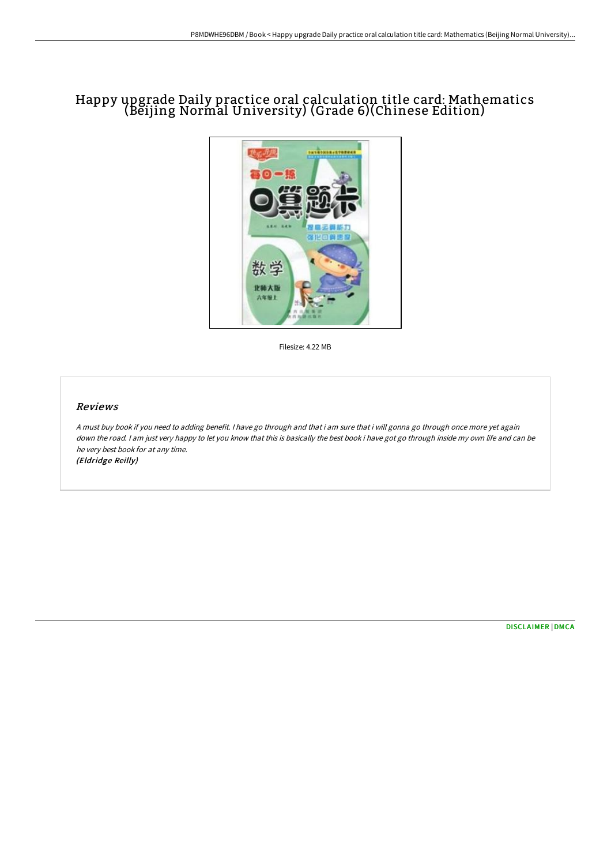## Happy upgrade Daily practice oral calculation title card: Mathematics (Beijing Normal University) (Grade 6)(Chinese Edition)



Filesize: 4.22 MB

## Reviews

<sup>A</sup> must buy book if you need to adding benefit. <sup>I</sup> have go through and that i am sure that i will gonna go through once more yet again down the road. <sup>I</sup> am just very happy to let you know that this is basically the best book i have got go through inside my own life and can be he very best book for at any time. (Eldridge Reilly)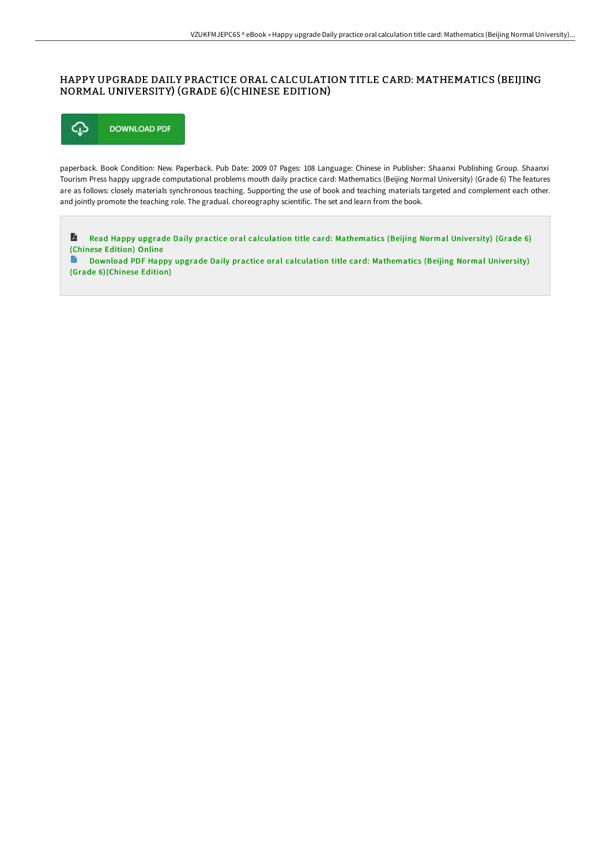## HAPPY UPGRADE DAILY PRACTICE ORAL CALCULATION TITLE CARD: MATHEMATICS (BEIJING NORMAL UNIVERSITY) (GRADE 6)(CHINESE EDITION)



paperback. Book Condition: New. Paperback. Pub Date: 2009 07 Pages: 108 Language: Chinese in Publisher: Shaanxi Publishing Group. Shaanxi Tourism Press happy upgrade computational problems mouth daily practice card: Mathematics (Beijing Normal University) (Grade 6) The features are as follows: closely materials synchronous teaching. Supporting the use of book and teaching materials targeted and complement each other. and jointly promote the teaching role. The gradual. choreography scientific. The set and learn from the book.

D Read Happy upgrade Daily practice oral calculation title card: [Mathematics](http://albedo.media/happy-upgrade-daily-practice-oral-calculation-ti-1.html) (Beijing Normal University) (Grade 6) (Chinese Edition) Online

Download PDF Happy upgrade Daily practice oral calculation title card: [Mathematics](http://albedo.media/happy-upgrade-daily-practice-oral-calculation-ti-1.html) (Beijing Normal University) E) (Grade 6)(Chinese Edition)